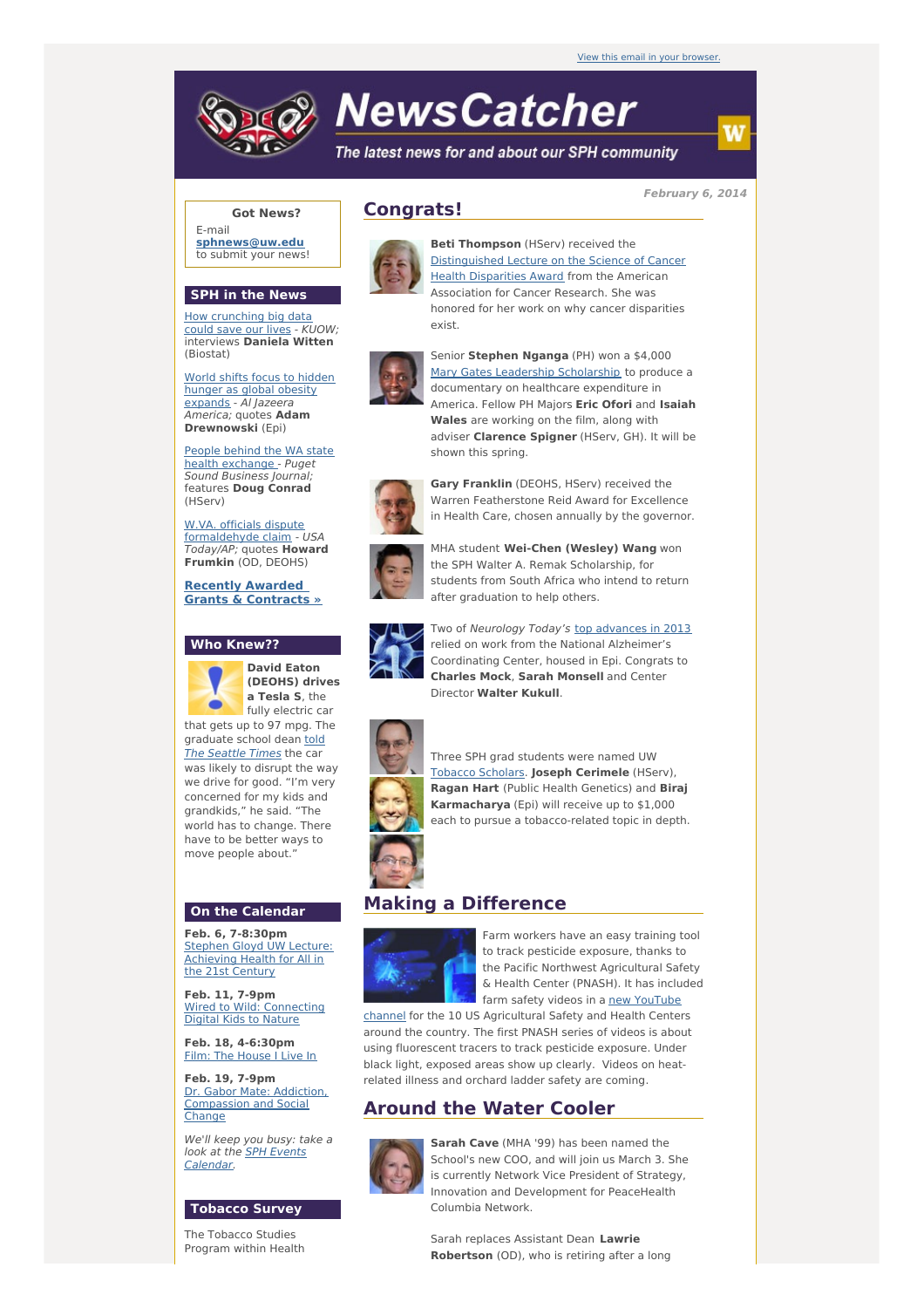# **NewsCatcher**

The latest news for and about our SPH community

**February 6, 2014**

#### **Got News?**

E-mail **[sphnews@uw.edu](mailto:sphnews@uw.edu)** to submit your news!

#### **SPH in the News**

How [crunching](http://engage.washington.edu/site/R?i=BIUkhTcmwsKabcGr47zlpA) big data could save our lives - KUOW; interviews **Daniela Witten** (Biostat)

World shifts focus to hidden hunger as global obesity [expands](http://engage.washington.edu/site/R?i=x02ovYYO-F9Jy1qrw79gIw) - Al Jazeera America; quotes **Adam Drewnowski** (Epi)

People behind the WA state health [exchange](http://engage.washington.edu/site/R?i=FbFu8x3poAnAMgLxWzhlYw) - Puget Sound Business Journal; features **Doug Conrad** (HServ)

W.VA. officials dispute [formaldehyde](http://engage.washington.edu/site/R?i=8DIsVyxrgShZWnMNFs-leg) claim - USA Today/AP; quotes **Howard Frumkin** (OD, DEOHS)

**Recently Awarded Grants & [Contracts](http://engage.washington.edu/site/R?i=VGtVixoIm2zJan42-Kc19Q) »**

### **Who Knew??**



**David Eaton (DEOHS) drives a Tesla S**, the fully electric car that gets up to 97 mpg. The

[graduate](http://engage.washington.edu/site/R?i=jMeeCBPPfMKC2b51DSYvyw) school dean told The Seattle Times the car was likely to disrupt the way we drive for good. "I'm very concerned for my kids and grandkids," he said. "The world has to change. There have to be better ways to move people about."

#### **On the Calendar**

**Feb. 6, 7-8:30pm** Stephen Gloyd UW Lecture: [Achieving](http://engage.washington.edu/site/R?i=h5MCegsh1iemxiNwfXuAEQ) Health for All in the 21st Century

**Feb. 11, 7-9pm** Wired to Wild: [Connecting](http://engage.washington.edu/site/R?i=_4jrpcuK_jmc6dBSM4uCfQ) Digital Kids to Nature

**Feb. 18, 4-6:30pm** Film: The [House](http://engage.washington.edu/site/R?i=ghMXnIu0BUGpXqyO0ylXuQ) I Live In

**Feb. 19, 7-9pm** Dr. Gabor Mate: Addiction, [Compassion](http://engage.washington.edu/site/R?i=aJhJ-HJZOG52tOoSbd5LVg) and Social **Change** 

We'll keep you busy: take a look at the **SPH Events** [Calendar.](http://engage.washington.edu/site/R?i=fHMh_iQTjemdDh8i1onVVw)

#### **Tobacco Survey**

The Tobacco Studies Program within Health

# **Congrats!**



**Beti Thompson** (HServ) received the [Distinguished](http://engage.washington.edu/site/R?i=-L2OzueFf-QSAJP9e9Vhsw) Lecture on the Science of Cancer Health Disparities Award from the American Association for Cancer Research. She was honored for her work on why cancer disparities exist.



Senior **Stephen Nganga** (PH) won a \$4,000 Mary Gates Leadership [Scholarship](http://engage.washington.edu/site/R?i=4iWOSLf9XDdeiZFoi-ccvg) to produce a documentary on healthcare expenditure in America. Fellow PH Majors **Eric Ofori** and **Isaiah Wales** are working on the film, along with adviser **Clarence Spigner** (HServ, GH). It will be shown this spring.



**Gary Franklin** (DEOHS, HServ) received the Warren Featherstone Reid Award for Excellence in Health Care, chosen annually by the governor.



MHA student **Wei-Chen (Wesley) Wang** won the SPH Walter A. Remak Scholarship, for students from South Africa who intend to return after graduation to help others.



Two of Neurology Today's top [advances](http://engage.washington.edu/site/R?i=FNOaWk5f11I_u7_qKJLdtg) in 2013 relied on work from the National Alzheimer's Coordinating Center, housed in Epi. Congrats to **Charles Mock**, **Sarah Monsell** and Center Director **Walter Kukull**.



Three SPH grad students were named UW [Tobacco](http://engage.washington.edu/site/R?i=0hplxXX7O2DvMF15-PLSCQ) Scholars. **Joseph Cerimele** (HServ), **Ragan Hart** (Public Health Genetics) and **Biraj Karmacharya** (Epi) will receive up to \$1,000 each to pursue a tobacco-related topic in depth.

## **Making a Difference**



Farm workers have an easy training tool to track pesticide exposure, thanks to the Pacific Northwest Agricultural Safety & Health Center (PNASH). It has included farm safety videos in a new YouTube

channel for the 10 US [Agricultural](http://engage.washington.edu/site/R?i=5Bo3djfExgtmhvHcF9YHPA) Safety and Health Centers around the country. The first PNASH series of videos is about using fluorescent tracers to track pesticide exposure. Under black light, exposed areas show up clearly. Videos on heatrelated illness and orchard ladder safety are coming.

# **Around the Water Cooler**



**Sarah Cave** (MHA '99) has been named the School's new COO, and will join us March 3. She is currently Network Vice President of Strategy, Innovation and Development for PeaceHealth Columbia Network.

Sarah replaces Assistant Dean **Lawrie Robertson** (OD), who is retiring after a long